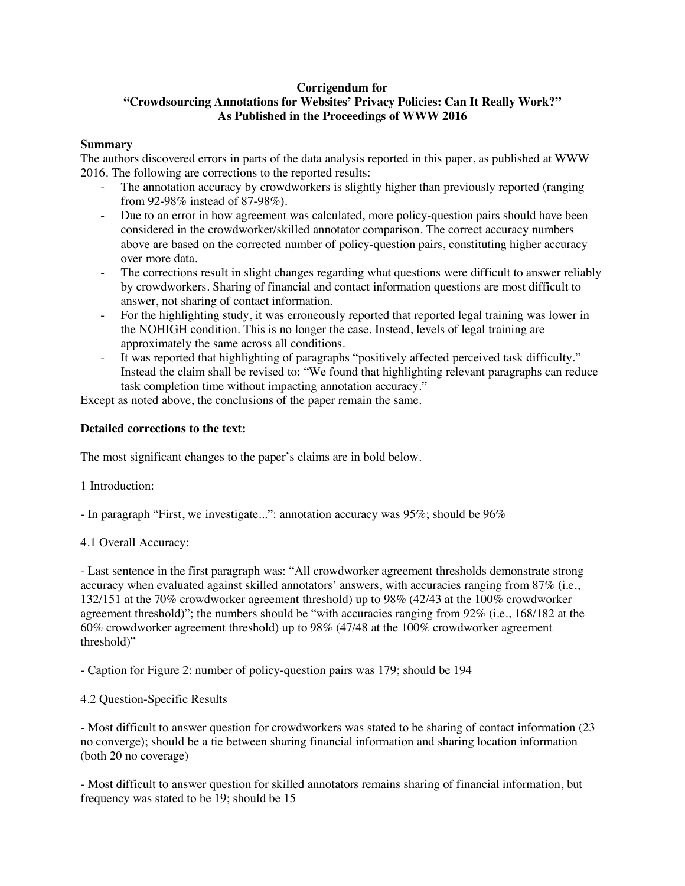## **Corrigendum for**

# **"Crowdsourcing Annotations for Websites' Privacy Policies: Can It Really Work?" As Published in the Proceedings of WWW 2016**

#### **Summary**

The authors discovered errors in parts of the data analysis reported in this paper, as published at WWW 2016. The following are corrections to the reported results:

- The annotation accuracy by crowdworkers is slightly higher than previously reported (ranging from 92-98% instead of 87-98%).
- Due to an error in how agreement was calculated, more policy-question pairs should have been considered in the crowdworker/skilled annotator comparison. The correct accuracy numbers above are based on the corrected number of policy-question pairs, constituting higher accuracy over more data.
- The corrections result in slight changes regarding what questions were difficult to answer reliably by crowdworkers. Sharing of financial and contact information questions are most difficult to answer, not sharing of contact information.
- For the highlighting study, it was erroneously reported that reported legal training was lower in the NOHIGH condition. This is no longer the case. Instead, levels of legal training are approximately the same across all conditions.
- It was reported that highlighting of paragraphs "positively affected perceived task difficulty." Instead the claim shall be revised to: "We found that highlighting relevant paragraphs can reduce task completion time without impacting annotation accuracy."

Except as noted above, the conclusions of the paper remain the same.

### **Detailed corrections to the text:**

The most significant changes to the paper's claims are in bold below.

1 Introduction:

- In paragraph "First, we investigate...": annotation accuracy was 95%; should be 96%

4.1 Overall Accuracy:

- Last sentence in the first paragraph was: "All crowdworker agreement thresholds demonstrate strong accuracy when evaluated against skilled annotators' answers, with accuracies ranging from 87% (i.e., 132/151 at the 70% crowdworker agreement threshold) up to 98% (42/43 at the 100% crowdworker agreement threshold)"; the numbers should be "with accuracies ranging from 92% (i.e., 168/182 at the 60% crowdworker agreement threshold) up to 98% (47/48 at the 100% crowdworker agreement threshold)"

- Caption for Figure 2: number of policy-question pairs was 179; should be 194

4.2 Question-Specific Results

- Most difficult to answer question for crowdworkers was stated to be sharing of contact information (23 no converge); should be a tie between sharing financial information and sharing location information (both 20 no coverage)

- Most difficult to answer question for skilled annotators remains sharing of financial information, but frequency was stated to be 19; should be 15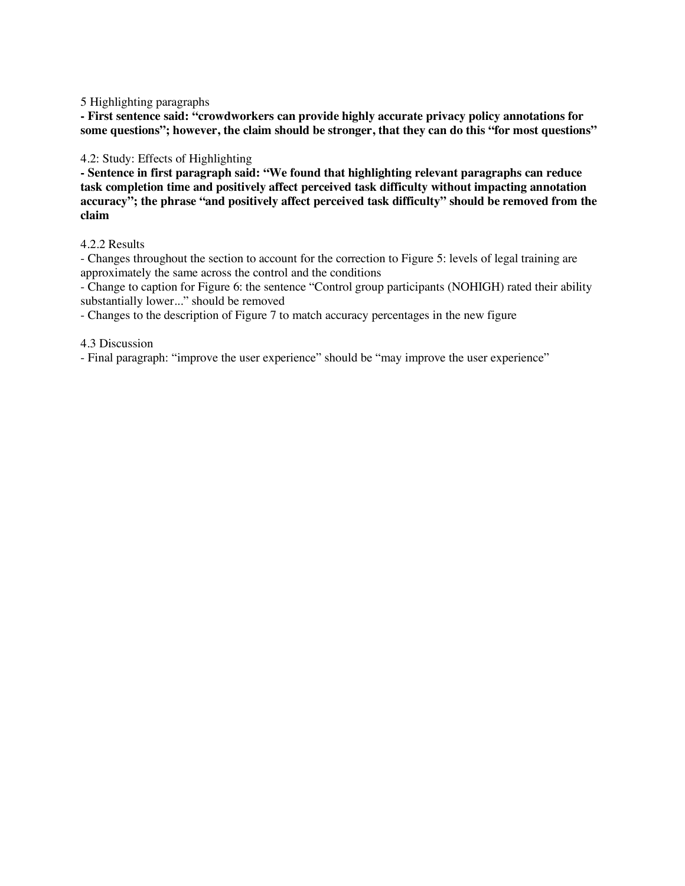5 Highlighting paragraphs

**- First sentence said: "crowdworkers can provide highly accurate privacy policy annotations for some questions"; however, the claim should be stronger, that they can do this "for most questions"**

4.2: Study: Effects of Highlighting

**- Sentence in first paragraph said: "We found that highlighting relevant paragraphs can reduce task completion time and positively affect perceived task difficulty without impacting annotation accuracy"; the phrase "and positively affect perceived task difficulty" should be removed from the claim**

### 4.2.2 Results

- Changes throughout the section to account for the correction to Figure 5: levels of legal training are approximately the same across the control and the conditions

- Change to caption for Figure 6: the sentence "Control group participants (NOHIGH) rated their ability substantially lower..." should be removed

- Changes to the description of Figure 7 to match accuracy percentages in the new figure

4.3 Discussion

- Final paragraph: "improve the user experience" should be "may improve the user experience"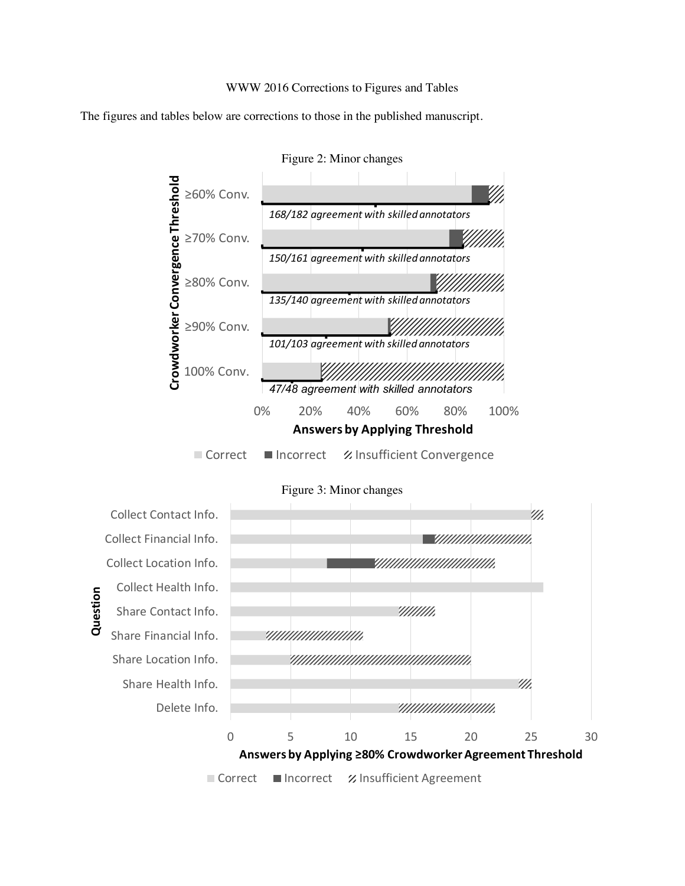### WWW 2016 Corrections to Figures and Tables

The figures and tables below are corrections to those in the published manuscript.



Figure 2: Minor changes



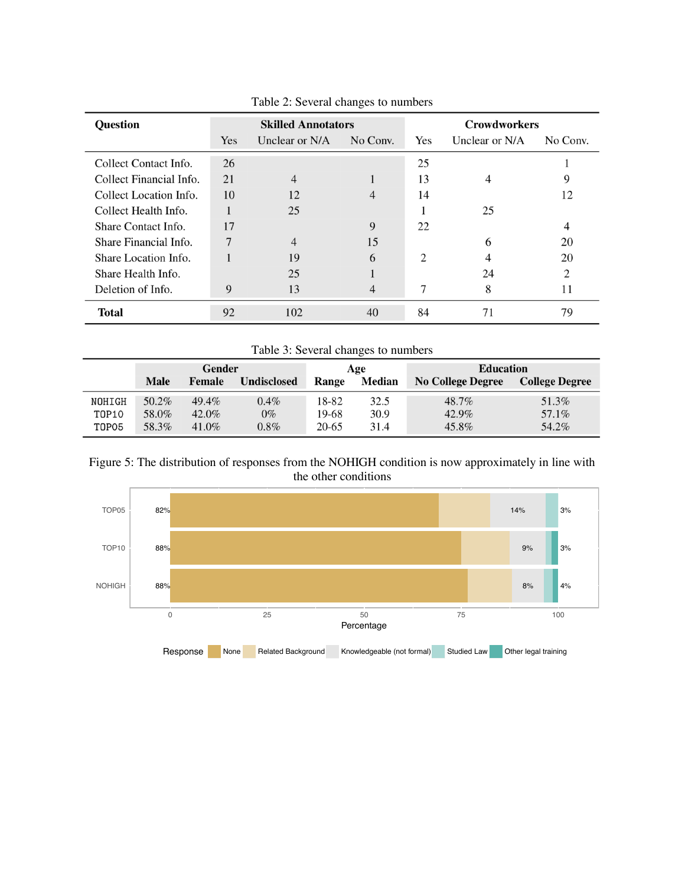| <b>Question</b>         | <b>Skilled Annotators</b> |                |          | <b>Crowdworkers</b> |                |          |
|-------------------------|---------------------------|----------------|----------|---------------------|----------------|----------|
|                         | Yes                       | Unclear or N/A | No Conv. | Yes                 | Unclear or N/A | No Conv. |
| Collect Contact Info.   | 26                        |                |          | 25                  |                |          |
| Collect Financial Info. | 21                        | 4              |          | 13                  | $\overline{4}$ | 9        |
| Collect Location Info.  | 10                        | 12             | 4        | 14                  |                | 12       |
| Collect Health Info.    |                           | 25             |          |                     | 25             |          |
| Share Contact Info.     | 17                        |                | 9        | 22                  |                | 4        |
| Share Financial Info.   |                           | $\overline{4}$ | 15       |                     | 6              | 20       |
| Share Location Info.    |                           | 19             | 6        | 2                   |                | 20       |
| Share Health Info.      |                           | 25             |          |                     | 24             | 2        |
| Deletion of Info.       | 9                         | 13             | 4        |                     | 8              | 11       |
| <b>Total</b>            | 92                        | 102            | 40       | 84                  | 71             | 79       |

Table 2: Several changes to numbers

Table 3: Several changes to numbers

|        | Gender      |          |                    | Age   |               | <b>Education</b>         |                       |  |
|--------|-------------|----------|--------------------|-------|---------------|--------------------------|-----------------------|--|
|        | <b>Male</b> | Female   | <b>Undisclosed</b> | Range | <b>Median</b> | <b>No College Degree</b> | <b>College Degree</b> |  |
| NOHIGH | $50.2\%$    | $49.4\%$ | $0.4\%$            | 18-82 | 32.5          | 48.7%                    | 51.3%                 |  |
| T0P10  | 58.0%       | $42.0\%$ | $0\%$              | 19-68 | 30.9          | 42.9%                    | 57.1%                 |  |
| T0P05  | 58.3%       | $41.0\%$ | $0.8\%$            | 20-65 | 31.4          | 45.8%                    | 54.2%                 |  |



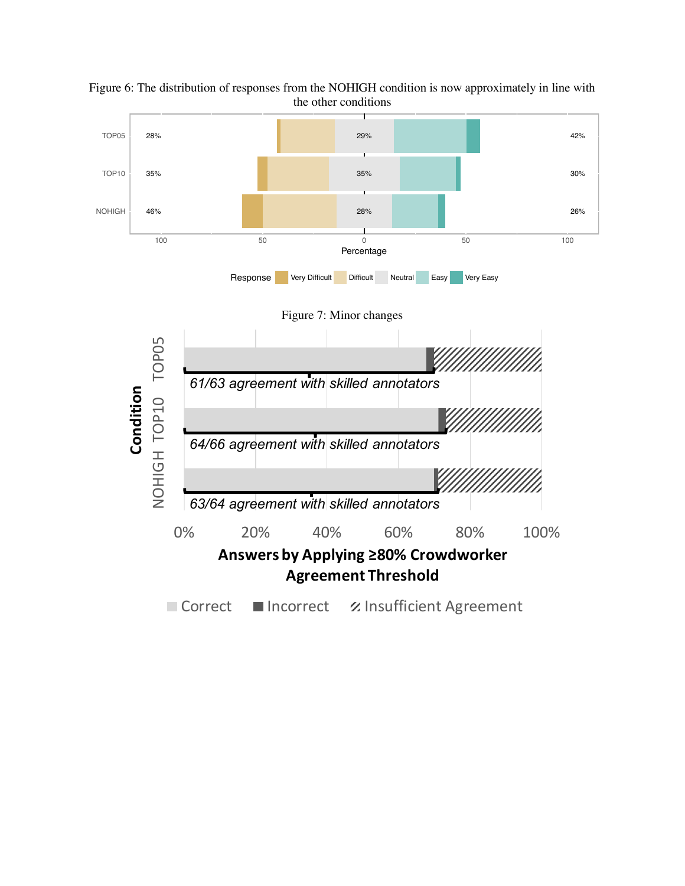

Figure 6: The distribution of responses from the NOHIGH condition is now approximately in line with the other conditions